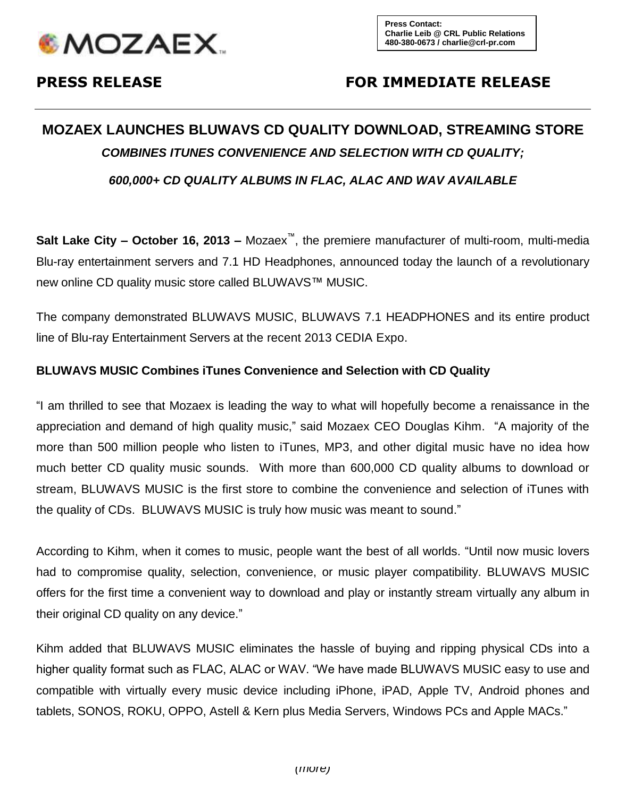

## **PRESS RELEASE FOR IMMEDIATE RELEASE**

# **MOZAEX LAUNCHES BLUWAVS CD QUALITY DOWNLOAD, STREAMING STORE** *COMBINES ITUNES CONVENIENCE AND SELECTION WITH CD QUALITY;*

*600,000+ CD QUALITY ALBUMS IN FLAC, ALAC AND WAV AVAILABLE*

**Salt Lake City – October 16, 2013 –** Mozaex™, the premiere manufacturer of multi-room, multi-media Blu-ray entertainment servers and 7.1 HD Headphones, announced today the launch of a revolutionary new online CD quality music store called BLUWAVS™ MUSIC.

The company demonstrated BLUWAVS MUSIC, BLUWAVS 7.1 HEADPHONES and its entire product line of Blu-ray Entertainment Servers at the recent 2013 CEDIA Expo.

#### **BLUWAVS MUSIC Combines iTunes Convenience and Selection with CD Quality**

"I am thrilled to see that Mozaex is leading the way to what will hopefully become a renaissance in the appreciation and demand of high quality music," said Mozaex CEO Douglas Kihm. "A majority of the more than 500 million people who listen to iTunes, MP3, and other digital music have no idea how much better CD quality music sounds. With more than 600,000 CD quality albums to download or stream, BLUWAVS MUSIC is the first store to combine the convenience and selection of iTunes with the quality of CDs. BLUWAVS MUSIC is truly how music was meant to sound."

According to Kihm, when it comes to music, people want the best of all worlds. "Until now music lovers had to compromise quality, selection, convenience, or music player compatibility. BLUWAVS MUSIC offers for the first time a convenient way to download and play or instantly stream virtually any album in their original CD quality on any device."

Kihm added that BLUWAVS MUSIC eliminates the hassle of buying and ripping physical CDs into a higher quality format such as FLAC, ALAC or WAV. "We have made BLUWAVS MUSIC easy to use and compatible with virtually every music device including iPhone, iPAD, Apple TV, Android phones and tablets, SONOS, ROKU, OPPO, Astell & Kern plus Media Servers, Windows PCs and Apple MACs."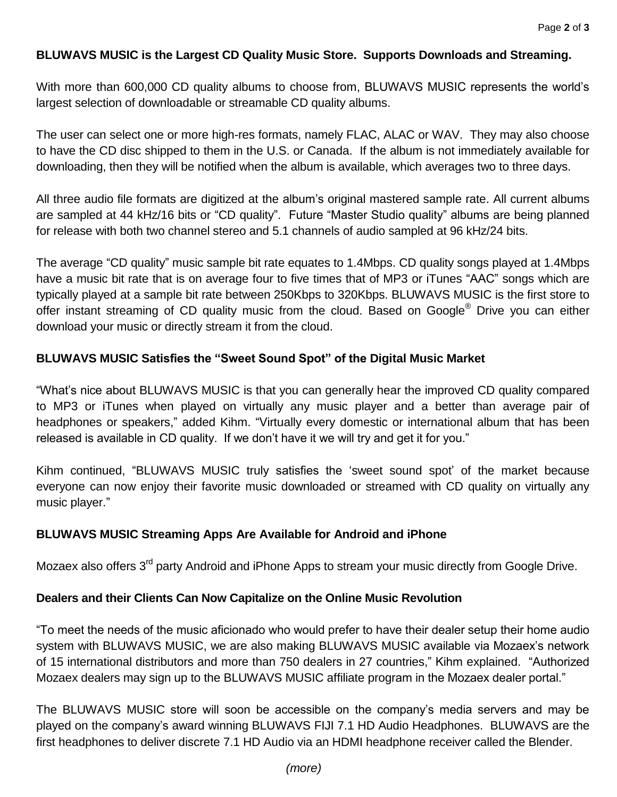#### **BLUWAVS MUSIC is the Largest CD Quality Music Store. Supports Downloads and Streaming.**

With more than 600,000 CD quality albums to choose from, BLUWAVS MUSIC represents the world's largest selection of downloadable or streamable CD quality albums.

The user can select one or more high-res formats, namely FLAC, ALAC or WAV. They may also choose to have the CD disc shipped to them in the U.S. or Canada. If the album is not immediately available for downloading, then they will be notified when the album is available, which averages two to three days.

All three audio file formats are digitized at the album's original mastered sample rate. All current albums are sampled at 44 kHz/16 bits or "CD quality". Future "Master Studio quality" albums are being planned for release with both two channel stereo and 5.1 channels of audio sampled at 96 kHz/24 bits.

The average "CD quality" music sample bit rate equates to 1.4Mbps. CD quality songs played at 1.4Mbps have a music bit rate that is on average four to five times that of MP3 or iTunes "AAC" songs which are typically played at a sample bit rate between 250Kbps to 320Kbps. BLUWAVS MUSIC is the first store to offer instant streaming of CD quality music from the cloud. Based on Google® Drive you can either download your music or directly stream it from the cloud.

### **BLUWAVS MUSIC Satisfies the "Sweet Sound Spot" of the Digital Music Market**

"What's nice about BLUWAVS MUSIC is that you can generally hear the improved CD quality compared to MP3 or iTunes when played on virtually any music player and a better than average pair of headphones or speakers," added Kihm. "Virtually every domestic or international album that has been released is available in CD quality. If we don't have it we will try and get it for you."

Kihm continued, "BLUWAVS MUSIC truly satisfies the 'sweet sound spot' of the market because everyone can now enjoy their favorite music downloaded or streamed with CD quality on virtually any music player."

#### **BLUWAVS MUSIC Streaming Apps Are Available for Android and iPhone**

Mozaex also offers 3<sup>rd</sup> party Android and iPhone Apps to stream your music directly from Google Drive.

#### **Dealers and their Clients Can Now Capitalize on the Online Music Revolution**

"To meet the needs of the music aficionado who would prefer to have their dealer setup their home audio system with BLUWAVS MUSIC, we are also making BLUWAVS MUSIC available via Mozaex's network of 15 international distributors and more than 750 dealers in 27 countries," Kihm explained. "Authorized Mozaex dealers may sign up to the BLUWAVS MUSIC affiliate program in the Mozaex dealer portal."

The BLUWAVS MUSIC store will soon be accessible on the company's media servers and may be played on the company's award winning BLUWAVS FIJI 7.1 HD Audio Headphones. BLUWAVS are the first headphones to deliver discrete 7.1 HD Audio via an HDMI headphone receiver called the Blender.